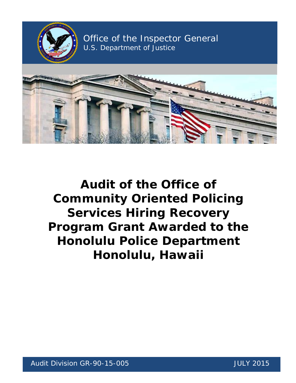

 **Program Grant Awarded to the Audit of the Office of Community Oriented Policing Services Hiring Recovery Honolulu Police Department Honolulu, Hawaii**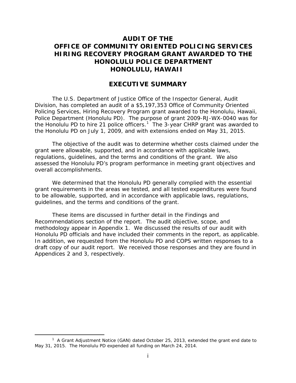# **AUDIT OF THE OFFICE OF COMMUNITY ORIENTED POLICING SERVICES HIRING RECOVERY PROGRAM GRANT AWARDED TO THE HONOLULU POLICE DEPARTMENT HONOLULU, HAWAII**

## **EXECUTIVE SUMMARY**

 Policing Services, Hiring Recovery Program grant awarded to the Honolulu, Hawaii, Police Department (Honolulu PD). The purpose of grant 2009-RJ-WX-0040 was for the Honolulu PD to hire 2[1](#page-1-0) police officers.<sup>1</sup> The 3-year CHRP grant was awarded to The U.S. Department of Justice Office of the Inspector General, Audit Division, has completed an audit of a \$5,197,353 Office of Community Oriented the Honolulu PD on July 1, 2009, and with extensions ended on May 31, 2015.

The objective of the audit was to determine whether costs claimed under the grant were allowable, supported, and in accordance with applicable laws, regulations, guidelines, and the terms and conditions of the grant. We also assessed the Honolulu PD's program performance in meeting grant objectives and overall accomplishments.

We determined that the Honolulu PD generally complied with the essential grant requirements in the areas we tested, and all tested expenditures were found to be allowable, supported, and in accordance with applicable laws, regulations, guidelines, and the terms and conditions of the grant.

 These items are discussed in further detail in the Findings and methodology appear in Appendix 1. We discussed the results of our audit with Honolulu PD officials and have included their comments in the report, as applicable. Appendices 2 and 3, respectively. Recommendations section of the report. The audit objective, scope, and In addition, we requested from the Honolulu PD and COPS written responses to a draft copy of our audit report. We received those responses and they are found in Appendices 2 and 3, respectively.<br>
1 A Grant Adjustment Notice (GAN) dated October 25, 2013, extended the grant end date to

 $\overline{a}$ 

<span id="page-1-0"></span><sup>&</sup>lt;sup>1</sup> A Grant Adjustment Notice (GAN) dated October 25, 2013, extended the grant end date to May 31, 2015. The Honolulu PD expended all funding on March 24, 2014.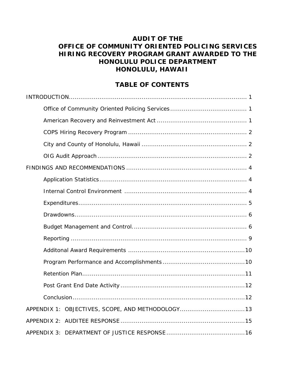# **AUDIT OF THE OFFICE OF COMMUNITY ORIENTED POLICING SERVICES HIRING RECOVERY PROGRAM GRANT AWARDED TO THE HONOLULU POLICE DEPARTMENT HONOLULU, HAWAII**

# **TABLE OF CONTENTS**

| APPENDIX 1: OBJECTIVES, SCOPE, AND METHODOLOGY13 |
|--------------------------------------------------|
|                                                  |
|                                                  |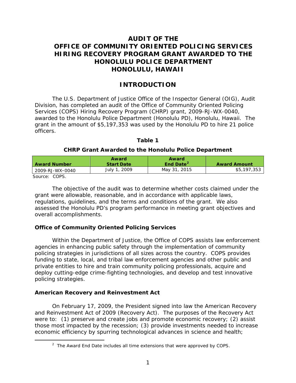# **AUDIT OF THE OFFICE OF COMMUNITY ORIENTED POLICING SERVICES HIRING RECOVERY PROGRAM GRANT AWARDED TO THE HONOLULU POLICE DEPARTMENT HONOLULU, HAWAII**

## **INTRODUCTION**

 awarded to the Honolulu Police Department (Honolulu PD), Honolulu, Hawaii. The The U.S. Department of Justice Office of the Inspector General (OIG), Audit Division, has completed an audit of the Office of Community Oriented Policing Services (COPS) Hiring Recovery Program (CHRP) grant, 2009-RJ-WX-0040, grant in the amount of \$5,197,353 was used by the Honolulu PD to hire 21 police officers.

#### **Table 1**

### **CHRP Grant Awarded to the Honolulu Police Department**

| <b>Award Number</b>               | Award<br><b>Start Date</b> | Award<br>End Date <sup>2</sup> | <b>Award Amount</b> |
|-----------------------------------|----------------------------|--------------------------------|---------------------|
| l 2009-RJ-WX-0040                 | July 1, 2009               | May 31, 2015                   | \$5,197,353         |
| $C_{\text{max}}$ $C_{\text{max}}$ |                            |                                |                     |

Source: COPS.

<span id="page-3-0"></span> $\overline{a}$ 

 grant were allowable, reasonable, and in accordance with applicable laws, regulations, guidelines, and the terms and conditions of the grant. We also The objective of the audit was to determine whether costs claimed under the assessed the Honolulu PD's program performance in meeting grant objectives and overall accomplishments.

## **Office of Community Oriented Policing Services**

 policing strategies in jurisdictions of all sizes across the country. COPS provides Within the Department of Justice, the Office of COPS assists law enforcement agencies in enhancing public safety through the implementation of community funding to state, local, and tribal law enforcement agencies and other public and private entities to hire and train community policing professionals, acquire and deploy cutting-edge crime-fighting technologies, and develop and test innovative policing strategies.

## **American Recovery and Reinvestment Act**

On February 17, 2009, the President signed into law the American Recovery and Reinvestment Act of 2009 (Recovery Act). The purposes of the Recovery Act were to: (1) preserve and create jobs and promote economic recovery; (2) assist those most impacted by the recession; (3) provide investments needed to increase economic efficiency by spurring technological advances in science and health;

 $2$  The Award End Date includes all time extensions that were approved by COPS.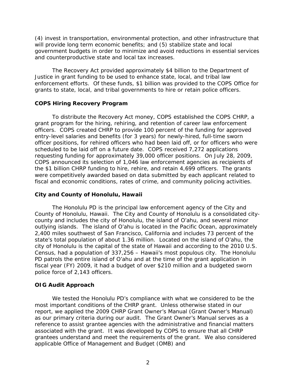<span id="page-4-0"></span>(4) invest in transportation, environmental protection, and other infrastructure that will provide long term economic benefits; and (5) stabilize state and local government budgets in order to minimize and avoid reductions in essential services and counterproductive state and local tax increases.

 grants to state, local, and tribal governments to hire or retain police officers. The Recovery Act provided approximately \$4 billion to the Department of Justice in grant funding to be used to enhance state, local, and tribal law enforcement efforts. Of these funds, \$1 billion was provided to the COPS Office for

#### **COPS Hiring Recovery Program**

 officer positions, for rehired officers who had been laid off, or for officers who were requesting funding for approximately 39,000 officer positions. On July 28, 2009, COPS announced its selection of 1,046 law enforcement agencies as recipients of the \$1 billion CHRP funding to hire, rehire, and retain 4,699 officers. The grants To distribute the Recovery Act money, COPS established the COPS CHRP, a grant program for the hiring, rehiring, and retention of career law enforcement officers. COPS created CHRP to provide 100 percent of the funding for approved entry-level salaries and benefits (for 3 years) for newly-hired, full-time sworn scheduled to be laid off on a future date. COPS received 7,272 applications were competitively awarded based on data submitted by each applicant related to fiscal and economic conditions, rates of crime, and community policing activities.

#### **City and County of Honolulu, Hawaii**

 The Honolulu PD is the principal law enforcement agency of the City and outlying islands. The island of O'ahu is located in the Pacific Ocean, approximately 2,400 miles southwest of San Francisco, California and includes 73 percent of the Census, had a population of 337,256 – Hawaii's most populous city. The Honolulu PD patrols the entire island of O'ahu and at the time of the grant application in County of Honolulu, Hawaii. The City and County of Honolulu is a consolidated citycounty and includes the city of Honolulu, the island of O'ahu, and several minor state's total population of about 1.36 million. Located on the island of O'ahu, the city of Honolulu is the capital of the state of Hawaii and according to the 2010 U.S. fiscal year (FY) 2009, it had a budget of over \$210 million and a budgeted sworn police force of 2,143 officers.

#### **OIG Audit Approach**

 We tested the Honolulu PD's compliance with what we considered to be the grantees understand and meet the requirements of the grant. We also considered most important conditions of the CHRP grant. Unless otherwise stated in our report, we applied the 2009 CHRP Grant Owner's Manual (Grant Owner's Manual) as our primary criteria during our audit. The Grant Owner's Manual serves as a reference to assist grantee agencies with the administrative and financial matters associated with the grant. It was developed by COPS to ensure that all CHRP applicable Office of Management and Budget (OMB) and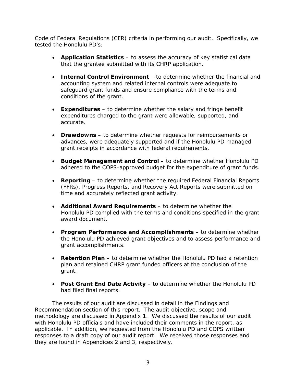Code of Federal Regulations (CFR) criteria in performing our audit. Specifically, we tested the Honolulu PD's:

- • **Application Statistics**  to assess the accuracy of key statistical data that the grantee submitted with its CHRP application.
- • **Internal Control Environment**  to determine whether the financial and accounting system and related internal controls were adequate to safeguard grant funds and ensure compliance with the terms and conditions of the grant.
- • **Expenditures**  to determine whether the salary and fringe benefit expenditures charged to the grant were allowable, supported, and accurate.
- **Drawdowns** to determine whether requests for reimbursements or advances, were adequately supported and if the Honolulu PD managed grant receipts in accordance with federal requirements.
- Budget Management and Control to determine whether Honolulu PD adhered to the COPS-approved budget for the expenditure of grant funds.
- • **Reporting**  to determine whether the required Federal Financial Reports (FFRs), Progress Reports, and Recovery Act Reports were submitted on time and accurately reflected grant activity.
- • **Additional Award Requirements**  to determine whether the Honolulu PD complied with the terms and conditions specified in the grant award document.
- **Program Performance and Accomplishments** to determine whether the Honolulu PD achieved grant objectives and to assess performance and grant accomplishments.
- plan and retained CHRP grant funded officers at the conclusion of the • **Retention Plan** – to determine whether the Honolulu PD had a retention grant.
- • **Post Grant End Date Activity**  to determine whether the Honolulu PD had filed final reports.

 Recommendation section of this report. The audit objective, scope and applicable. In addition, we requested from the Honolulu PD and COPS written they are found in Appendices 2 and 3, respectively.<br>3 The results of our audit are discussed in detail in the Findings and methodology are discussed in Appendix 1. We discussed the results of our audit with Honolulu PD officials and have included their comments in the report, as responses to a draft copy of our audit report. We received those responses and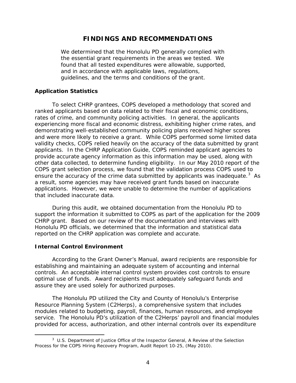## **FINDINGS AND RECOMMENDATIONS**

<span id="page-6-0"></span>We determined that the Honolulu PD generally complied with the essential grant requirements in the areas we tested. We found that all tested expenditures were allowable, supported, and in accordance with applicable laws, regulations, guidelines, and the terms and conditions of the grant.

#### **Application Statistics**

 rates of crime, and community policing activities. In general, the applicants and were more likely to receive a grant. While COPS performed some limited data applicants. In the CHRP Application Guide, COPS reminded applicant agencies to other data collected, to determine funding eligibility. In our May 2010 report of the ensure the accuracy of the crime data submitted by applicants was inadequate.<sup>3</sup> As To select CHRP grantees, COPS developed a methodology that scored and ranked applicants based on data related to their fiscal and economic conditions, experiencing more fiscal and economic distress, exhibiting higher crime rates, and demonstrating well-established community policing plans received higher scores validity checks, COPS relied heavily on the accuracy of the data submitted by grant provide accurate agency information as this information may be used, along with COPS grant selection process, we found that the validation process COPS used to a result, some agencies may have received grant funds based on inaccurate applications. However, we were unable to determine the number of applications that included inaccurate data.

 support the information it submitted to COPS as part of the application for the 2009 Honolulu PD officials, we determined that the information and statistical data reported on the CHRP application was complete and accurate. During this audit, we obtained documentation from the Honolulu PD to CHRP grant. Based on our review of the documentation and interviews with

#### **Internal Control Environment**

 $\overline{a}$ 

According to the Grant Owner's Manual, award recipients are responsible for establishing and maintaining an adequate system of accounting and internal controls. An acceptable internal control system provides cost controls to ensure optimal use of funds. Award recipients must adequately safeguard funds and assure they are used solely for authorized purposes.

 service. The Honolulu PD's utilization of the C2Herps' payroll and financial modules The Honolulu PD utilized the City and County of Honolulu's Enterprise Resource Planning System (C2Herps), a comprehensive system that includes modules related to budgeting, payroll, finances, human resources, and employee provided for access, authorization, and other internal controls over its expenditure

<span id="page-6-1"></span> 3 U.S. Department of Justice Office of the Inspector General, *A Review of the Selection Process for the COPS Hiring Recovery Program,* Audit Report 10-25, (May 2010).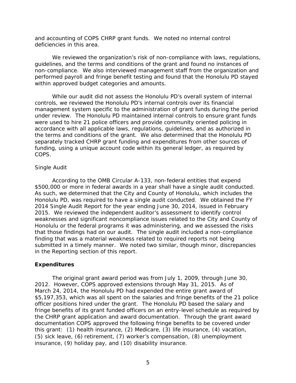<span id="page-7-0"></span>and accounting of COPS CHRP grant funds. We noted no internal control deficiencies in this area.

 guidelines, and the terms and conditions of the grant and found no instances of non-compliance. We also interviewed management staff from the organization and We reviewed the organization's risk of non-compliance with laws, regulations, performed payroll and fringe benefit testing and found that the Honolulu PD stayed within approved budget categories and amounts.

 accordance with all applicable laws, regulations, guidelines, and as authorized in While our audit did not assess the Honolulu PD's overall system of internal controls, we reviewed the Honolulu PD's internal controls over its financial management system specific to the administration of grant funds during the period under review. The Honolulu PD maintained internal controls to ensure grant funds were used to hire 21 police officers and provide community oriented policing in the terms and conditions of the grant. We also determined that the Honolulu PD separately tracked CHRP grant funding and expenditures from other sources of funding, using a unique account code within its general ledger, as required by COPS.

#### *Single Audit*

 Honolulu PD, was required to have a single audit conducted. We obtained the FY 2014 Single Audit Report for the year ending June 30, 2014, issued in February 2015. We reviewed the independent auditor's assessment to identify control Honolulu or the federal programs it was administering, and we assessed the risks that those findings had on our audit. The single audit included a non-compliance finding that was a material weakness related to required reports not being According to the OMB Circular A-133, non-federal entities that expend \$500,000 or more in federal awards in a year shall have a single audit conducted. As such, we determined that the City and County of Honolulu, which includes the weaknesses and significant noncompliance issues related to the City and County of submitted in a timely manner. We noted two similar, though minor, discrepancies in the Reporting section of this report.

#### **Expenditures**

 2012. However, COPS approved extensions through May 31, 2015. As of March 24, 2014, the Honolulu PD had expended the entire grant award of officer positions hired under the grant. The Honolulu PD based the salary and the CHRP grant application and award documentation. Through the grant award The original grant award period was from July 1, 2009, through June 30, \$5,197,353, which was all spent on the salaries and fringe benefits of the 21 police fringe benefits of its grant funded officers on an entry-level schedule as required by documentation COPS approved the following fringe benefits to be covered under this grant: (1) health insurance, (2) Medicare, (3) life insurance, (4) vacation, (5) sick leave, (6) retirement, (7) worker's compensation, (8) unemployment insurance, (9) holiday pay, and (10) disability insurance.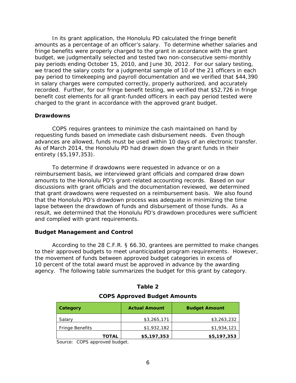amounts as a percentage of an officer's salary. To determine whether salaries and in salary charges were computed correctly, properly authorized, and accurately recorded. Further, for our fringe benefit testing, we verified that \$52,726 in fringe In its grant application, the Honolulu PD calculated the fringe benefit fringe benefits were properly charged to the grant in accordance with the grant budget, we judgmentally selected and tested two non-consecutive semi-monthly pay periods ending October 15, 2010, and June 30, 2012. For our salary testing, we traced the salary costs for a judgmental sample of 10 of the 21 officers in each pay period to timekeeping and payroll documentation and we verified that \$44,390 benefit cost elements for all grant-funded officers in each pay period tested were charged to the grant in accordance with the approved grant budget.

#### **Drawdowns**

 requesting funds based on immediate cash disbursement needs. Even though As of March 2014, the Honolulu PD had drawn down the grant funds in their COPS requires grantees to minimize the cash maintained on hand by advances are allowed, funds must be used within 10 days of an electronic transfer. entirety (\$5,197,353).

 amounts to the Honolulu PD's grant-related accounting records. Based on our that grant drawdowns were requested on a reimbursement basis. We also found lapse between the drawdown of funds and disbursement of those funds. As a To determine if drawdowns were requested in advance or on a reimbursement basis, we interviewed grant officials and compared draw down discussions with grant officials and the documentation reviewed, we determined that the Honolulu PD's drawdown process was adequate in minimizing the time result, we determined that the Honolulu PD's drawdown procedures were sufficient and complied with grant requirements.

#### **Budget Management and Control**

 According to the 28 C.F.R. § 66.30, grantees are permitted to make changes agency. The following table summarizes the budget for this grant by category. to their approved budgets to meet unanticipated program requirements. However, the movement of funds between approved budget categories in excess of 10 percent of the total award must be approved in advance by the awarding

| Category               |       | <b>Actual Amount</b> | <b>Budget Amount</b> |
|------------------------|-------|----------------------|----------------------|
| Salary                 |       | \$3,265,171          | \$3,263,232          |
| <b>Fringe Benefits</b> |       | \$1,932,182          | \$1,934,121          |
|                        | TOTAL | \$5,197,353          | \$5,197,353          |

#### **Table 2**

#### **COPS Approved Budget Amounts**

Source: COPS approved budget.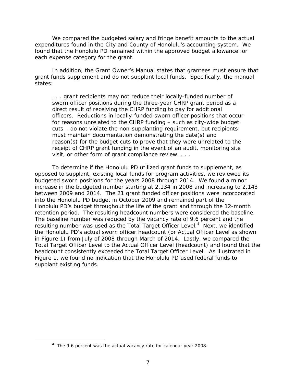We compared the budgeted salary and fringe benefit amounts to the actual expenditures found in the City and County of Honolulu's accounting system. We found that the Honolulu PD remained within the approved budget allowance for each expense category for the grant.

 In addition, the Grant Owner's Manual states that grantees must ensure that grant funds supplement and do not supplant local funds. Specifically, the manual states:

 visit, or other form of grant compliance review. . . . . . . grant recipients may not reduce their locally-funded number of sworn officer positions during the three-year CHRP grant period as a direct result of receiving the CHRP funding to pay for additional officers. Reductions in locally-funded sworn officer positions that occur for reasons unrelated to the CHRP funding – such as city-wide budget cuts – do not violate the non-supplanting requirement, but recipients must maintain documentation demonstrating the date(s) and reason(s) for the budget cuts to prove that they were unrelated to the receipt of CHRP grant funding in the event of an audit, monitoring site

 between 2009 and 2014. The 21 grant funded officer positions were incorporated retention period. The resulting headcount numbers were considered the baseline. resulting number was used as the Total Target Officer Level.<sup>4</sup> Next, we identified Figure 1, we found no indication that the Honolulu PD used federal funds to supplant existing funds. To determine if the Honolulu PD utilized grant funds to supplement, as opposed to supplant, existing local funds for program activities, we reviewed its budgeted sworn positions for the years 2008 through 2014. We found a minor increase in the budgeted number starting at 2,134 in 2008 and increasing to 2,143 into the Honolulu PD budget in October 2009 and remained part of the Honolulu PD's budget throughout the life of the grant and through the 12-month The baseline number was reduced by the vacancy rate of 9.6 percent and the the Honolulu PD's actual sworn officer headcount (or Actual Officer Level as shown in Figure 1) from July of 2008 through March of 2014. Lastly, we compared the Total Target Officer Level to the Actual Officer Level (headcount) and found that the headcount consistently exceeded the Total Target Officer Level. As illustrated in supplant existing funds.<br>  $\frac{4}{100}$  The 9.6 percent was the actual vacancy rate for calendar year 2008.

<span id="page-9-0"></span> $\overline{a}$ 

<sup>&</sup>lt;sup>4</sup> The 9.6 percent was the actual vacancy rate for calendar year 2008.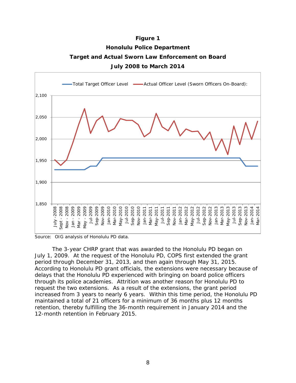**Figure 1 Honolulu Police Department Target and Actual Sworn Law Enforcement on Board July 2008 to March 2014**



Source: OIG analysis of Honolulu PD data.

 through its police academies. Attrition was another reason for Honolulu PD to increased from 3 years to nearly 6 years. Within this time period, the Honolulu PD The 3-year CHRP grant that was awarded to the Honolulu PD began on July 1, 2009. At the request of the Honolulu PD, COPS first extended the grant period through December 31, 2013, and then again through May 31, 2015. According to Honolulu PD grant officials, the extensions were necessary because of delays that the Honolulu PD experienced with bringing on board police officers request the two extensions. As a result of the extensions, the grant period maintained a total of 21 officers for a minimum of 36 months plus 12 months retention, thereby fulfilling the 36-month requirement in January 2014 and the 12-month retention in February 2015.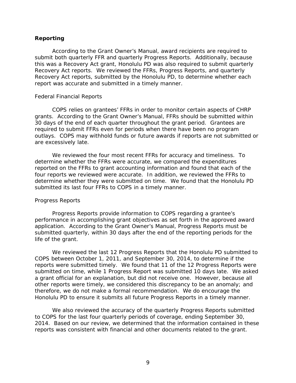#### <span id="page-11-0"></span>**Reporting**

 Recovery Act reports, submitted by the Honolulu PD, to determine whether each According to the Grant Owner's Manual, award recipients are required to submit both quarterly FFR and quarterly Progress Reports. Additionally, because this was a Recovery Act grant, Honolulu PD was also required to submit quarterly Recovery Act reports. We reviewed the FFRs, Progress Reports, and quarterly report was accurate and submitted in a timely manner.

#### *Federal Financial Reports*

 grants. According to the Grant Owner's Manual, FFRs should be submitted within COPS relies on grantees' FFRs in order to monitor certain aspects of CHRP 30 days of the end of each quarter throughout the grant period. Grantees are required to submit FFRs even for periods when there have been no program outlays. COPS may withhold funds or future awards if reports are not submitted or are excessively late.

We reviewed the four most recent FFRs for accuracy and timeliness. To determine whether the FFRs were accurate, we compared the expenditures reported on the FFRs to grant accounting information and found that each of the four reports we reviewed were accurate. In addition, we reviewed the FFRs to determine whether they were submitted on time. We found that the Honolulu PD submitted its last four FFRs to COPS in a timely manner.

#### *Progress Reports*

Progress Reports provide information to COPS regarding a grantee's performance in accomplishing grant objectives as set forth in the approved award application. According to the Grant Owner's Manual, Progress Reports must be submitted quarterly, within 30 days after the end of the reporting periods for the life of the grant.

 COPS between October 1, 2011, and September 30, 2014, to determine if the reports were submitted timely. We found that 11 of the 12 Progress Reports were a grant official for an explanation, but did not receive one. However, because all therefore, we do not make a formal recommendation. We do encourage the Honolulu PD to ensure it submits all future Progress Reports in a timely manner. We reviewed the last 12 Progress Reports that the Honolulu PD submitted to submitted on time, while 1 Progress Report was submitted 10 days late. We asked other reports were timely, we considered this discrepancy to be an anomaly; and

 We also reviewed the accuracy of the quarterly Progress Reports submitted 2014. Based on our review, we determined that the information contained in these reports was consistent with financial and other documents related to the grant.<br> $9$ to COPS for the last four quarterly periods of coverage, ending September 30,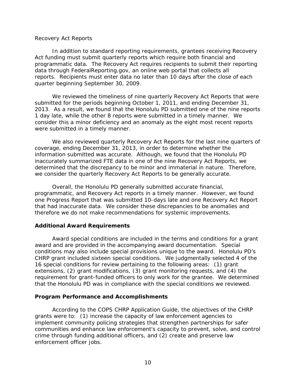#### <span id="page-12-0"></span>*Recovery Act Reports*

 programmatic data. The Recovery Act requires recipients to submit their reporting reports. Recipients must enter data no later than 10 days after the close of each quarter beginning September 30, 2009. In addition to standard reporting requirements, grantees receiving Recovery Act funding must submit quarterly reports which require both financial and data through FederalReporting.gov, an online web portal that collects all

 We reviewed the timeliness of nine quarterly Recovery Act Reports that were submitted for the periods beginning October 1, 2011, and ending December 31, 1 day late, while the other 8 reports were submitted in a timely manner. We 2013. As a result, we found that the Honolulu PD submitted one of the nine reports consider this a minor deficiency and an anomaly as the eight most recent reports were submitted in a timely manner.

 coverage, ending December 31, 2013, in order to determine whether the We also reviewed quarterly Recovery Act Reports for the last nine quarters of information submitted was accurate. Although, we found that the Honolulu PD inaccurately summarized FTE data in one of the nine Recovery Act Reports, we determined that the discrepancy to be minor and immaterial in nature. Therefore, we consider the quarterly Recovery Act Reports to be generally accurate.

Overall, the Honolulu PD generally submitted accurate financial, programmatic, and Recovery Act reports in a timely manner. However, we found one Progress Report that was submitted 10-days late and one Recovery Act Report that had inaccurate data. We consider these discrepancies to be anomalies and therefore we do not make recommendations for systemic improvements.

#### **Additional Award Requirements**

 award and are provided in the accompanying award documentation. Special conditions may also include special provisions unique to the award. Honolulu PD's CHRP grant included sixteen special conditions. We judgmentally selected 4 of the 16 special conditions for review pertaining to the following areas: (1) grant that the Honolulu PD was in compliance with the special conditions we reviewed. Award special conditions are included in the terms and conditions for a grant extensions, (2) grant modifications, (3) grant monitoring requests, and (4) the requirement for grant-funded officers to only work for the grantee. We determined

#### **Program Performance and Accomplishments**

 According to the COPS CHRP Application Guide, the objectives of the CHRP grants were to: (1) increase the capacity of law enforcement agencies to implement community policing strategies that strengthen partnerships for safer communities and enhance law enforcement's capacity to prevent, solve, and control crime through funding additional officers, and (2) create and preserve law enforcement officer jobs.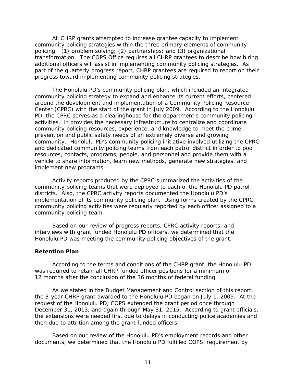<span id="page-13-0"></span> policing: (1) problem solving; (2) partnerships; and (3) organizational All CHRP grants attempted to increase grantee capacity to implement community policing strategies within the three primary elements of community transformation. The COPS Office requires all CHRP grantees to describe how hiring additional officers will assist in implementing community policing strategies. As part of the quarterly progress report, CHRP grantees are required to report on their progress toward implementing community policing strategies.

 The Honolulu PD's community policing plan, which included an integrated community policing strategy to expand and enhance its current efforts, centered Center (CPRC) with the start of the grant in July 2009. According to the Honolulu community. Honolulu PD's community policing initiative involved utilizing the CPRC and dedicated community policing teams from each patrol district in order to pool around the development and implementation of a Community Policing Resource PD, the CPRC serves as a clearinghouse for the department's community policing activities. It provides the necessary infrastructure to centralize and coordinate community policing resources, experience, and knowledge to meet the crime prevention and public safety needs of an extremely diverse and growing resources, contacts, programs, people, and personnel and provide them with a vehicle to share information, learn new methods, generate new strategies, and implement new programs.

 Activity reports produced by the CPRC summarized the activities of the community policing teams that were deployed to each of the Honolulu PD patrol districts. Also, the CPRC activity reports documented the Honolulu PD's implementation of its community policing plan. Using forms created by the CPRC, community policing activities were regularly reported by each officer assigned to a community policing team.

 Based on our review of progress reports, CPRC activity reports, and Honolulu PD was meeting the community policing objectives of the grant. interviews with grant funded Honolulu PD officers, we determined that the

#### **Retention Plan**

According to the terms and conditions of the CHRP grant, the Honolulu PD was required to retain all CHRP funded officer positions for a minimum of 12 months after the conclusion of the 36 months of federal funding.

 request of the Honolulu PD, COPS extended the grant period once through the extensions were needed first due to delays in conducting police academies and As we stated in the Budget Management and Control section of this report, the 3-year CHRP grant awarded to the Honolulu PD began on July 1, 2009. At the December 31, 2013, and again through May 31, 2015. According to grant officials, then due to attrition among the grant funded officers.

 Based on our review of the Honolulu PD's employment records and other documents, we determined that the Honolulu PD fulfilled COPS' requirement by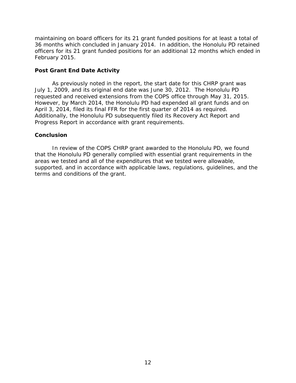<span id="page-14-0"></span> 36 months which concluded in January 2014. In addition, the Honolulu PD retained officers for its 21 grant funded positions for an additional 12 months which ended in February 2015. maintaining on board officers for its 21 grant funded positions for at least a total of

## **Post Grant End Date Activity**

April 3, 2014, filed its final FFR for the first quarter of 2014 as required. As previously noted in the report, the start date for this CHRP grant was July 1, 2009, and its original end date was June 30, 2012. The Honolulu PD requested and received extensions from the COPS office through May 31, 2015. However, by March 2014, the Honolulu PD had expended all grant funds and on Additionally, the Honolulu PD subsequently filed its Recovery Act Report and Progress Report in accordance with grant requirements.

#### **Conclusion**

 that the Honolulu PD generally complied with essential grant requirements in the In review of the COPS CHRP grant awarded to the Honolulu PD, we found areas we tested and all of the expenditures that we tested were allowable, supported, and in accordance with applicable laws, regulations, guidelines, and the terms and conditions of the grant.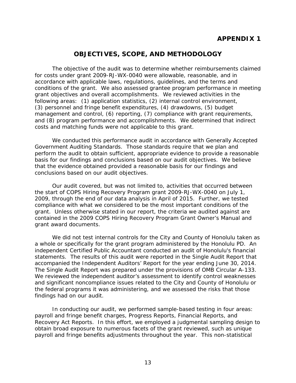# **APPENDIX 1**

## **OBJECTIVES, SCOPE, AND METHODOLOGY**

<span id="page-15-0"></span> The objective of the audit was to determine whether reimbursements claimed conditions of the grant. We also assessed grantee program performance in meeting grant objectives and overall accomplishments. We reviewed activities in the following areas: (1) application statistics, (2) internal control environment, costs and matching funds were not applicable to this grant. for costs under grant 2009-RJ-WX-0040 were allowable, reasonable, and in accordance with applicable laws, regulations, guidelines, and the terms and (3) personnel and fringe benefit expenditures, (4) drawdowns, (5) budget management and control, (6) reporting, (7) compliance with grant requirements, and (8) program performance and accomplishments. We determined that indirect

We conducted this performance audit in accordance with Generally Accepted Government Auditing Standards. Those standards require that we plan and perform the audit to obtain sufficient, appropriate evidence to provide a reasonable basis for our findings and conclusions based on our audit objectives. We believe that the evidence obtained provided a reasonable basis for our findings and conclusions based on our audit objectives.

 the start of COPS Hiring Recovery Program grant 2009-RJ-WX-0040 on July 1, Our audit covered, but was not limited to, activities that occurred between 2009, through the end of our data analysis in April of 2015. Further, we tested compliance with what we considered to be the most important conditions of the grant. Unless otherwise stated in our report, the criteria we audited against are contained in the 2009 COPS Hiring Recovery Program Grant Owner's Manual and grant award documents.

 and significant noncompliance issues related to the City and County of Honolulu or We did not test internal controls for the City and County of Honolulu taken as a whole or specifically for the grant program administered by the Honolulu PD. An independent Certified Public Accountant conducted an audit of Honolulu's financial statements. The results of this audit were reported in the Single Audit Report that accompanied the Independent Auditors' Report for the year ending June 30, 2014. The Single Audit Report was prepared under the provisions of OMB Circular A-133. We reviewed the independent auditor's assessment to identify control weaknesses the federal programs it was administering, and we assessed the risks that those findings had on our audit.

 obtain broad exposure to numerous facets of the grant reviewed, such as unique In conducting our audit, we performed sample-based testing in four areas: payroll and fringe benefit charges, Progress Reports, Financial Reports, and Recovery Act Reports. In this effort, we employed a judgmental sampling design to payroll and fringe benefits adjustments throughout the year. This non-statistical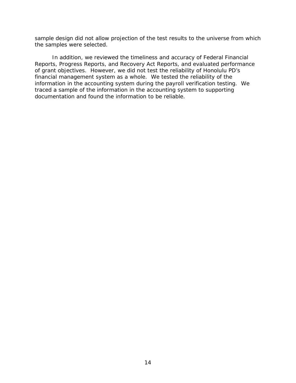sample design did not allow projection of the test results to the universe from which the samples were selected.

 of grant objectives. However, we did not test the reliability of Honolulu PD's financial management system as a whole. We tested the reliability of the information in the accounting system during the payroll verification testing. We In addition, we reviewed the timeliness and accuracy of Federal Financial Reports, Progress Reports, and Recovery Act Reports, and evaluated performance traced a sample of the information in the accounting system to supporting documentation and found the information to be reliable.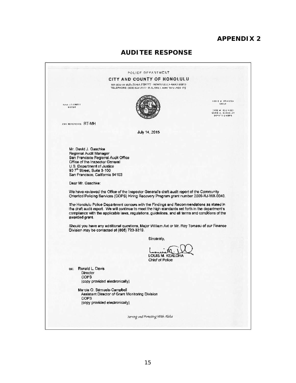## **APPENDIX 2**

# **AUDITEE RESPONSE**

|                                      |                                                                               | CITY AND COUNTY OF HONOLULU                                                                                                                                                                                                                                                                         |                                                               |
|--------------------------------------|-------------------------------------------------------------------------------|-----------------------------------------------------------------------------------------------------------------------------------------------------------------------------------------------------------------------------------------------------------------------------------------------------|---------------------------------------------------------------|
|                                      |                                                                               | 801 SOUTH BERSTANA STREET · HONOLULU, HAWAIT 95813                                                                                                                                                                                                                                                  |                                                               |
|                                      |                                                                               | TELEPHONE: (BDB) 629 3111 · IN IL RNET, www.horo indpc.org                                                                                                                                                                                                                                          |                                                               |
|                                      |                                                                               |                                                                                                                                                                                                                                                                                                     | TOBAL MERICUS                                                 |
| <b>FINE VICERELL</b><br><b>WAYDR</b> |                                                                               |                                                                                                                                                                                                                                                                                                     | CHICH                                                         |
|                                      |                                                                               |                                                                                                                                                                                                                                                                                                     | DAVE N. KAJ HIRO<br><b>MARIE A. MCCAULEY</b><br>DEFUTY UNIEFS |
|                                      | CUS REFERENCE RT-MH                                                           |                                                                                                                                                                                                                                                                                                     |                                                               |
|                                      |                                                                               | July 14, 2015                                                                                                                                                                                                                                                                                       |                                                               |
|                                      |                                                                               |                                                                                                                                                                                                                                                                                                     |                                                               |
|                                      | Mr. David J. Gaschke                                                          |                                                                                                                                                                                                                                                                                                     |                                                               |
|                                      | Regional Audit Manager                                                        |                                                                                                                                                                                                                                                                                                     |                                                               |
|                                      | San Francisco Regional Audit Office<br>Office of the Inspector General        |                                                                                                                                                                                                                                                                                                     |                                                               |
|                                      | U.S. Department of Justice<br>90 7th Street, Suite 3-100                      |                                                                                                                                                                                                                                                                                                     |                                                               |
|                                      | San Francisco, California 94103                                               |                                                                                                                                                                                                                                                                                                     |                                                               |
|                                      | Dear Mr. Gaschke:                                                             |                                                                                                                                                                                                                                                                                                     |                                                               |
|                                      |                                                                               | We have reviewed the Office of the Inspector General's draft audit report of the Community<br>Oriented Policing Services (COPS) Hiring Recovery Program grant number 2009-RJ-WX-0040.                                                                                                               |                                                               |
|                                      |                                                                               | The Honolulu Police Department concurs with the Findings and Recommendations as stated in<br>the draft audit report. We will continue to meet the high standards set forth in the department's<br>compliance with the applicable laws, regulations, guidelines, and all terms and conditions of the |                                                               |
|                                      | awarded grant.                                                                |                                                                                                                                                                                                                                                                                                     |                                                               |
|                                      | Division may be contacted at (808) 723-3219.                                  | Should you have any additional questions, Major William Axt or Mr. Roy Tomasu of our Finance                                                                                                                                                                                                        |                                                               |
|                                      |                                                                               | Sincerely,                                                                                                                                                                                                                                                                                          |                                                               |
|                                      |                                                                               |                                                                                                                                                                                                                                                                                                     |                                                               |
|                                      |                                                                               | LOUIS M. KEALOHA<br>Chief of Police                                                                                                                                                                                                                                                                 |                                                               |
| $\infty$ :                           | Ronald L. Davis                                                               |                                                                                                                                                                                                                                                                                                     |                                                               |
|                                      | Director<br><b>COPS</b>                                                       |                                                                                                                                                                                                                                                                                                     |                                                               |
|                                      | (copy provided electronically)                                                |                                                                                                                                                                                                                                                                                                     |                                                               |
|                                      | Marcia O. Samuels-Campbell<br>Assistant Director of Grant Monitoring Division |                                                                                                                                                                                                                                                                                                     |                                                               |
|                                      | COPS<br>(copy provided electronically)                                        |                                                                                                                                                                                                                                                                                                     |                                                               |
|                                      |                                                                               |                                                                                                                                                                                                                                                                                                     |                                                               |
|                                      |                                                                               |                                                                                                                                                                                                                                                                                                     |                                                               |
|                                      |                                                                               | Serving and Portecting With Alaha                                                                                                                                                                                                                                                                   |                                                               |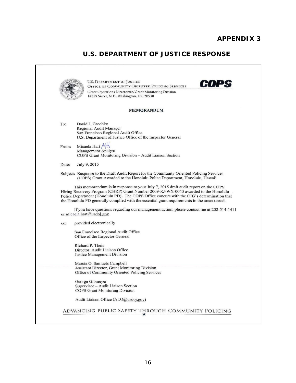# **U.S. DEPARTMENT OF JUSTICE RESPONSE**

**COPS**  ADVANCING PUBLIC SAFETY THROUGH COMMUNITY POLICING **U.S. DEPARTMENT OF JUSTICE** OFFICE OF COMMUNITY ORIENTED POLICING SERVICES Grant Operations Directorate/ Grant Monitoring Division 145 N Street, N.E., Washington, DC 20530 MEMORANDUM To: David J. Gaschke Regional Audit Manager San Francisco Regional Audit Office U.s. Department of Justice Office of the Inspector General From: Micaela Hart  $\mathcal{M}$ Management Analyst COPS Grant Monitoring Division - Audit Liaison Section Date: July 9, 2015 Subject: Response to the Draft Audit Report for the Community Oriented Policing Services (COPS) Grant Awarded to the Honolulu Police Department, Honolulu, Hawaii This memorandum is in response to your July 7, 2015 draft audit report on the COPS Hiring Recovery Program (CHRP) Grant Number 2009-RJ-WX-0040 awarded to the Honolulu Police Department (Honolulu PD). The COPS Office concurs with the OIG's determination that the Honolulu PD generally complied with the essential grant requirements in the areas tested. If you have questions regarding our management action, please contact me at 202-514-141 1 or micaela.hart@usdoj.gov. cc: provided electronically San Francisco Regional Audit Office Office of the Inspector General Richard P. Theis Director, Audit Liaison Office Justice Management Division Marcia O. Samuels Campbell Assistant Director, Grant Monitoring Division Office of Community Oriented Policing Services George Gibmeyer Supervisor - Audit Liaison Section COPS Grant Monitoring Division Audit Liaison Office (ALO@usdoj.gov)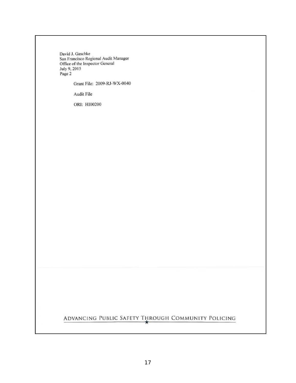**David J. Gaschke San Francisco Regional Audit Manager Office** of the **Inspector General**  July 9, 2015 Page 2

Grant File: 2009-RJ-WX-0040

**Audit File** 

ORI: HI00200

# ADVANCING PUBLI C SAFETY THROUGH COMMUN ITY POLIC I NG **•**